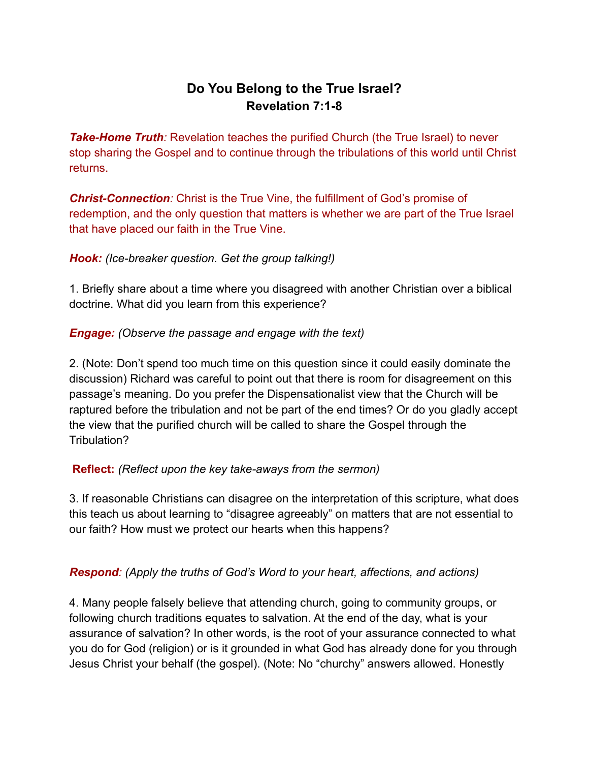# **Do You Belong to the True Israel? Revelation 7:1-8**

**Take-Home Truth**: Revelation teaches the purified Church (the True Israel) to never stop sharing the Gospel and to continue through the tribulations of this world until Christ returns.

*Christ-Connection:* Christ is the True Vine, the fulfillment of God's promise of redemption, and the only question that matters is whether we are part of the True Israel that have placed our faith in the True Vine.

## *Hook: (Ice-breaker question. Get the group talking!)*

1. Briefly share about a time where you disagreed with another Christian over a biblical doctrine. What did you learn from this experience?

### *Engage: (Observe the passage and engage with the text)*

2. (Note: Don't spend too much time on this question since it could easily dominate the discussion) Richard was careful to point out that there is room for disagreement on this passage's meaning. Do you prefer the Dispensationalist view that the Church will be raptured before the tribulation and not be part of the end times? Or do you gladly accept the view that the purified church will be called to share the Gospel through the Tribulation?

## **Reflect:** *(Reflect upon the key take-aways from the sermon)*

3. If reasonable Christians can disagree on the interpretation of this scripture, what does this teach us about learning to "disagree agreeably" on matters that are not essential to our faith? How must we protect our hearts when this happens?

#### *Respond: (Apply the truths of God's Word to your heart, affections, and actions)*

4. Many people falsely believe that attending church, going to community groups, or following church traditions equates to salvation. At the end of the day, what is your assurance of salvation? In other words, is the root of your assurance connected to what you do for God (religion) or is it grounded in what God has already done for you through Jesus Christ your behalf (the gospel). (Note: No "churchy" answers allowed. Honestly